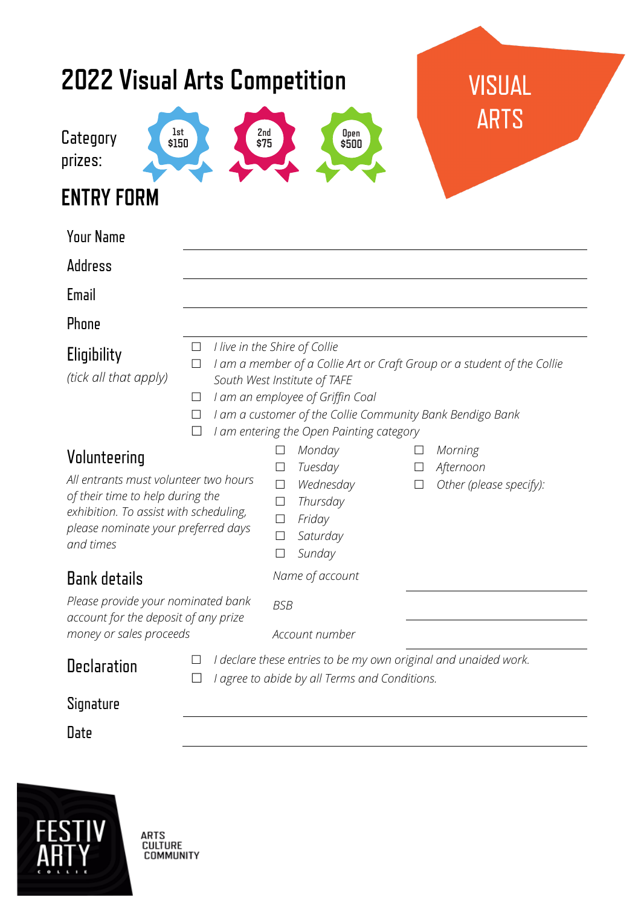| <b>2022 Visual Arts Competition</b><br>Category<br>prizes:<br><b>ENTRY FORM</b>                                                                                                         | $_{\rm s150}^{\rm 1st}$                                                                                                                                                                                                                                                           | 2nd<br>\$75<br>Open<br>\$500                                                                                                                                                       | <b>VISUAL</b><br><b>ARTS</b>                                        |  |
|-----------------------------------------------------------------------------------------------------------------------------------------------------------------------------------------|-----------------------------------------------------------------------------------------------------------------------------------------------------------------------------------------------------------------------------------------------------------------------------------|------------------------------------------------------------------------------------------------------------------------------------------------------------------------------------|---------------------------------------------------------------------|--|
| <b>Your Name</b>                                                                                                                                                                        |                                                                                                                                                                                                                                                                                   |                                                                                                                                                                                    |                                                                     |  |
| Address                                                                                                                                                                                 |                                                                                                                                                                                                                                                                                   |                                                                                                                                                                                    |                                                                     |  |
| Email<br>Phone                                                                                                                                                                          |                                                                                                                                                                                                                                                                                   |                                                                                                                                                                                    |                                                                     |  |
| Eligibility<br>(tick all that apply)                                                                                                                                                    | I live in the Shire of Collie<br>$\Box$<br>I am a member of a Collie Art or Craft Group or a student of the Collie<br>$\Box$<br>South West Institute of TAFE<br>I am an employee of Griffin Coal<br>$\Box$<br>I am a customer of the Collie Community Bank Bendigo Bank<br>$\Box$ |                                                                                                                                                                                    |                                                                     |  |
| Volunteering<br>All entrants must volunteer two hours<br>of their time to help during the<br>exhibition. To assist with scheduling,<br>please nominate your preferred days<br>and times | $\Box$                                                                                                                                                                                                                                                                            | I am entering the Open Painting category<br>Monday<br>$\Box$<br>Tuesday<br>$\Box$<br>Wednesday<br>$\Box$<br>Thursday<br>$\Box$<br>Friday<br>$\Box$<br>Saturday<br>Sunday<br>$\Box$ | Morning<br>Afternoon<br>$\Box$<br>Other (please specify):<br>$\Box$ |  |
| <b>Bank details</b>                                                                                                                                                                     |                                                                                                                                                                                                                                                                                   | Name of account                                                                                                                                                                    |                                                                     |  |
| Please provide your nominated bank<br>account for the deposit of any prize<br>money or sales proceeds                                                                                   |                                                                                                                                                                                                                                                                                   | <b>BSB</b><br>Account number                                                                                                                                                       |                                                                     |  |
| <b>Declaration</b>                                                                                                                                                                      | I declare these entries to be my own original and unaided work.<br>I agree to abide by all Terms and Conditions.                                                                                                                                                                  |                                                                                                                                                                                    |                                                                     |  |
| Signature                                                                                                                                                                               |                                                                                                                                                                                                                                                                                   |                                                                                                                                                                                    |                                                                     |  |
|                                                                                                                                                                                         |                                                                                                                                                                                                                                                                                   |                                                                                                                                                                                    |                                                                     |  |



ARTS<br>CULTURE<br>COMMUNITY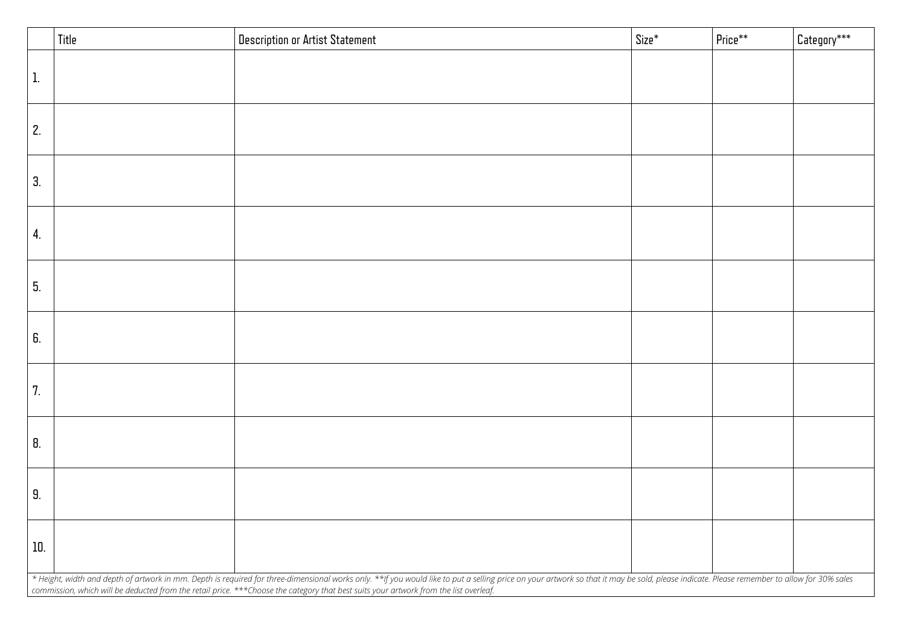| Title          | <b>Description or Artist Statement</b>                                                                                                                                                                                                                                                                                                                                  | Size* | $ $ Price $^{**}$ | Category*** |
|----------------|-------------------------------------------------------------------------------------------------------------------------------------------------------------------------------------------------------------------------------------------------------------------------------------------------------------------------------------------------------------------------|-------|-------------------|-------------|
| $^{\prime}$ 1. |                                                                                                                                                                                                                                                                                                                                                                         |       |                   |             |
| 2.             |                                                                                                                                                                                                                                                                                                                                                                         |       |                   |             |
| З.             |                                                                                                                                                                                                                                                                                                                                                                         |       |                   |             |
| 4.             |                                                                                                                                                                                                                                                                                                                                                                         |       |                   |             |
| 5.             |                                                                                                                                                                                                                                                                                                                                                                         |       |                   |             |
| 6.             |                                                                                                                                                                                                                                                                                                                                                                         |       |                   |             |
| 7.             |                                                                                                                                                                                                                                                                                                                                                                         |       |                   |             |
| 8.             |                                                                                                                                                                                                                                                                                                                                                                         |       |                   |             |
| 9.             |                                                                                                                                                                                                                                                                                                                                                                         |       |                   |             |
| 10.            |                                                                                                                                                                                                                                                                                                                                                                         |       |                   |             |
|                | * Height, width and depth of artwork in mm. Depth is required for three-dimensional works only. **If you would like to put a selling price on your artwork so that it may be sold, please indicate. Please remember to allow f<br>commission, which will be deducted from the retail price. ***Choose the category that best suits your artwork from the list overleaf. |       |                   |             |

|                                                 | Price** | $\mathsf{C}$ ategory $^{***}$ |  |  |
|-------------------------------------------------|---------|-------------------------------|--|--|
|                                                 |         |                               |  |  |
|                                                 |         |                               |  |  |
|                                                 |         |                               |  |  |
|                                                 |         |                               |  |  |
|                                                 |         |                               |  |  |
|                                                 |         |                               |  |  |
|                                                 |         |                               |  |  |
|                                                 |         |                               |  |  |
|                                                 |         |                               |  |  |
|                                                 |         |                               |  |  |
|                                                 |         |                               |  |  |
|                                                 |         |                               |  |  |
|                                                 |         |                               |  |  |
|                                                 |         |                               |  |  |
|                                                 |         |                               |  |  |
|                                                 |         |                               |  |  |
|                                                 |         |                               |  |  |
|                                                 |         |                               |  |  |
|                                                 |         |                               |  |  |
|                                                 |         |                               |  |  |
| ndicate. Please remember to allow for 30% sales |         |                               |  |  |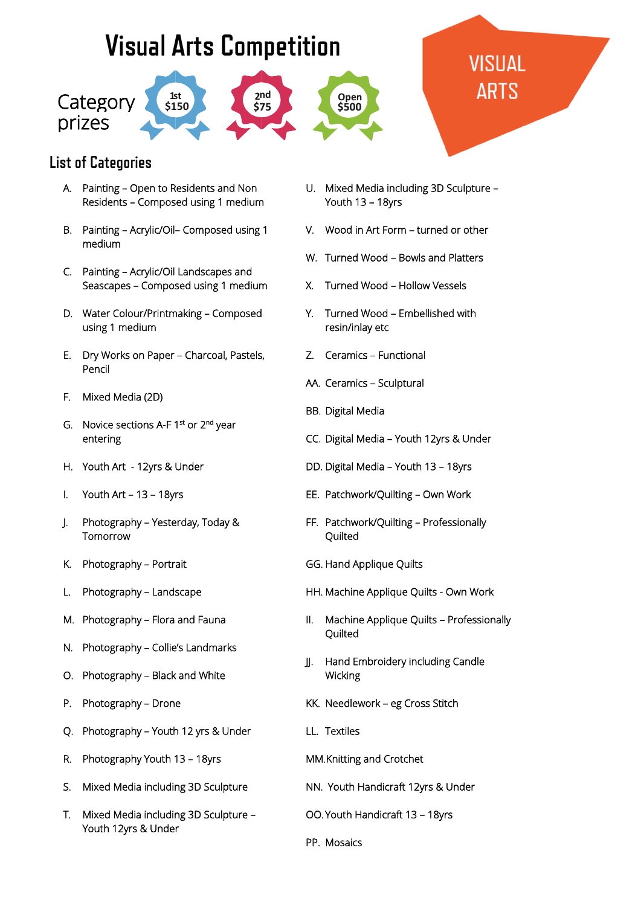## **Visual Arts Competition**



## VISUAL ARTS

## **List of Categories**

- A. Painting Open to Residents and Non Residents – Composed using 1 medium
- B. Painting Acrylic/Oil– Composed using 1 medium
- C. Painting Acrylic/Oil Landscapes and Seascapes – Composed using 1 medium
- D. Water Colour/Printmaking Composed using 1 medium
- E. Dry Works on Paper Charcoal, Pastels, Pencil
- F. Mixed Media (2D)
- G. Novice sections A-F 1<sup>st</sup> or 2<sup>nd</sup> year entering
- H. Youth Art 12yrs & Under
- I. Youth Art 13 18yrs
- J. Photography Yesterday, Today & Tomorrow
- K. Photography Portrait
- L. Photography Landscape
- M. Photography Flora and Fauna
- N. Photography Collie's Landmarks
- O. Photography Black and White
- P. Photography Drone
- Q. Photography Youth 12 yrs & Under
- R. Photography Youth 13 18yrs
- S. Mixed Media including 3D Sculpture
- T. Mixed Media including 3D Sculpture Youth 12yrs & Under
- U. Mixed Media including 3D Sculpture Youth 13 – 18yrs
- V. Wood in Art Form turned or other
- W. Turned Wood Bowls and Platters
- X. Turned Wood Hollow Vessels
- Y. Turned Wood Embellished with resin/inlay etc
- Z. Ceramics Functional
- AA. Ceramics Sculptural
- BB. Digital Media
- CC. Digital Media Youth 12yrs & Under
- DD. Digital Media Youth 13 18yrs
- EE. Patchwork/Quilting Own Work
- FF. Patchwork/Quilting Professionally **Quilted**
- GG. Hand Applique Quilts
- HH. Machine Applique Quilts Own Work
- II. Machine Applique Quilts Professionally **Ouilted**
- JJ. Hand Embroidery including Candle Wicking
- KK. Needlework eg Cross Stitch
- LL. Textiles
- MM.Knitting and Crotchet
- NN. Youth Handicraft 12yrs & Under
- OO.Youth Handicraft 13 18yrs
- PP. Mosaics